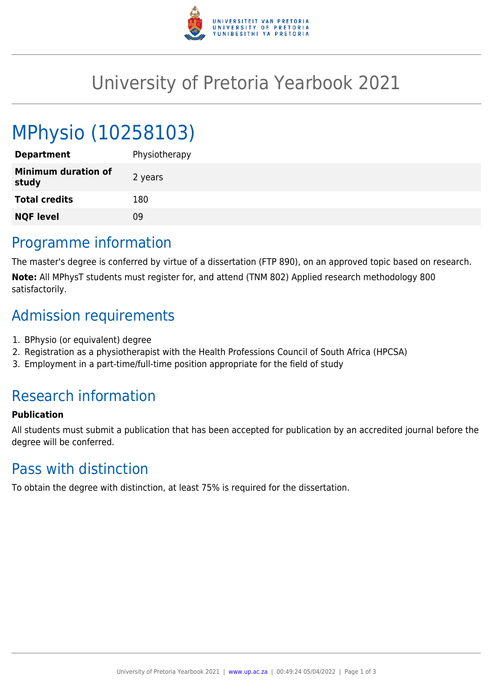

## University of Pretoria Yearbook 2021

# MPhysio (10258103)

| <b>Department</b>                   | Physiotherapy |
|-------------------------------------|---------------|
| <b>Minimum duration of</b><br>study | 2 years       |
| <b>Total credits</b>                | 180           |
| <b>NQF level</b>                    | 09            |
|                                     |               |

#### Programme information

The master's degree is conferred by virtue of a dissertation (FTP 890), on an approved topic based on research. **Note:** All MPhysT students must register for, and attend (TNM 802) Applied research methodology 800 satisfactorily.

## Admission requirements

- 1. BPhysio (or equivalent) degree
- 2. Registration as a physiotherapist with the Health Professions Council of South Africa (HPCSA)
- 3. Employment in a part-time/full-time position appropriate for the field of study

## Research information

#### **Publication**

All students must submit a publication that has been accepted for publication by an accredited journal before the degree will be conferred.

#### Pass with distinction

To obtain the degree with distinction, at least 75% is required for the dissertation.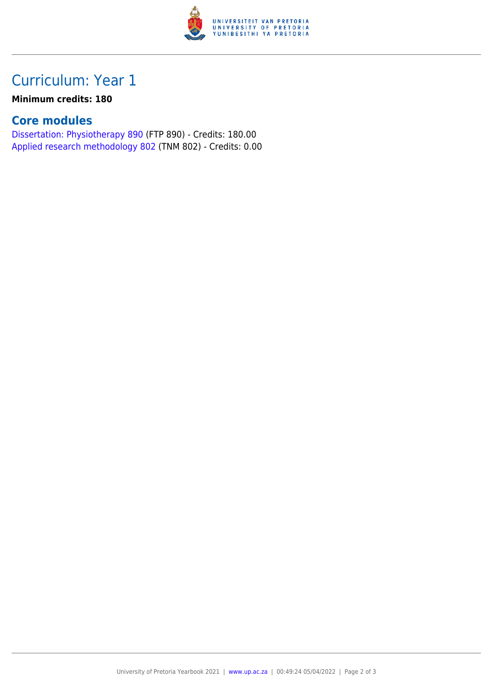

## Curriculum: Year 1

#### **Minimum credits: 180**

#### **Core modules**

[Dissertation: Physiotherapy 890](https://www.up.ac.za/yearbooks/2021/modules/view/FTP 890) (FTP 890) - Credits: 180.00 [Applied research methodology 802](https://www.up.ac.za/yearbooks/2021/modules/view/TNM 802) (TNM 802) - Credits: 0.00